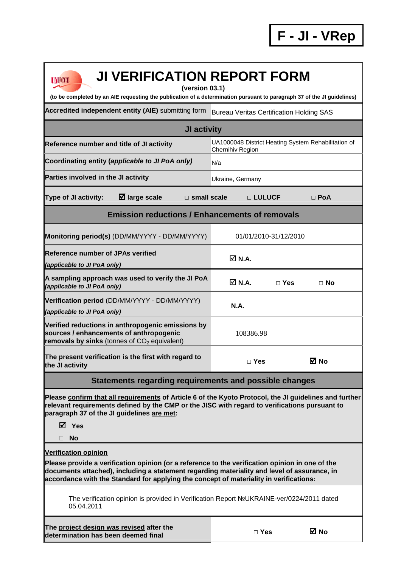| <b>JI VERIFICATION REPORT FORM</b><br><b>UNFCCC</b><br>(version 03.1)                                                                                                                                                                                                                                                   |                                                                         |                       |            |  |
|-------------------------------------------------------------------------------------------------------------------------------------------------------------------------------------------------------------------------------------------------------------------------------------------------------------------------|-------------------------------------------------------------------------|-----------------------|------------|--|
| (to be completed by an AIE requesting the publication of a determination pursuant to paragraph 37 of the JI guidelines)                                                                                                                                                                                                 |                                                                         |                       |            |  |
| Accredited independent entity (AIE) submitting form<br><b>Bureau Veritas Certification Holding SAS</b>                                                                                                                                                                                                                  |                                                                         |                       |            |  |
| JI activity                                                                                                                                                                                                                                                                                                             |                                                                         |                       |            |  |
| Reference number and title of JI activity                                                                                                                                                                                                                                                                               | UA1000048 District Heating System Rehabilitation of<br>Chernihiv Region |                       |            |  |
| Coordinating entity (applicable to JI PoA only)                                                                                                                                                                                                                                                                         | N/a                                                                     |                       |            |  |
| Parties involved in the JI activity                                                                                                                                                                                                                                                                                     | Ukraine, Germany                                                        |                       |            |  |
| Type of JI activity:<br>$\boxtimes$ large scale<br>$\square$ small scale                                                                                                                                                                                                                                                |                                                                         | □ LULUCF              | $\Box$ PoA |  |
| <b>Emission reductions / Enhancements of removals</b>                                                                                                                                                                                                                                                                   |                                                                         |                       |            |  |
| Monitoring period(s) (DD/MM/YYYY - DD/MM/YYYY)                                                                                                                                                                                                                                                                          |                                                                         | 01/01/2010-31/12/2010 |            |  |
| <b>Reference number of JPAs verified</b><br>(applicable to JI PoA only)                                                                                                                                                                                                                                                 | $\overline{\triangle}$ N.A.                                             |                       |            |  |
| A sampling approach was used to verify the JI PoA<br>(applicable to JI PoA only)                                                                                                                                                                                                                                        | <b>☑ N.A.</b>                                                           | $\Box$ Yes            | ⊟ No       |  |
| Verification period (DD/MM/YYYY - DD/MM/YYYY)                                                                                                                                                                                                                                                                           | <b>N.A.</b>                                                             |                       |            |  |
| (applicable to JI PoA only)                                                                                                                                                                                                                                                                                             |                                                                         |                       |            |  |
| Verified reductions in anthropogenic emissions by<br>sources / enhancements of anthropogenic<br>removals by sinks (tonnes of $CO2$ equivalent)                                                                                                                                                                          | 108386.98                                                               |                       |            |  |
| The present verification is the first with regard to<br>the JI activity                                                                                                                                                                                                                                                 | $\Box$ Yes                                                              |                       | ⊠ No       |  |
| Statements regarding requirements and possible changes                                                                                                                                                                                                                                                                  |                                                                         |                       |            |  |
| Please confirm that all requirements of Article 6 of the Kyoto Protocol, the JI guidelines and further<br>relevant requirements defined by the CMP or the JISC with regard to verifications pursuant to<br>paragraph 37 of the JI guidelines are met:                                                                   |                                                                         |                       |            |  |
| ⊠ Yes                                                                                                                                                                                                                                                                                                                   |                                                                         |                       |            |  |
| <b>No</b><br>П.                                                                                                                                                                                                                                                                                                         |                                                                         |                       |            |  |
| <b>Verification opinion</b><br>Please provide a verification opinion (or a reference to the verification opinion in one of the<br>documents attached), including a statement regarding materiality and level of assurance, in<br>accordance with the Standard for applying the concept of materiality in verifications: |                                                                         |                       |            |  |
| The verification opinion is provided in Verification Report NºUKRAINE-ver/0224/2011 dated<br>05.04.2011                                                                                                                                                                                                                 |                                                                         |                       |            |  |
| The project design was revised after the<br>determination has been deemed final                                                                                                                                                                                                                                         |                                                                         | $\Box$ Yes            | M No       |  |